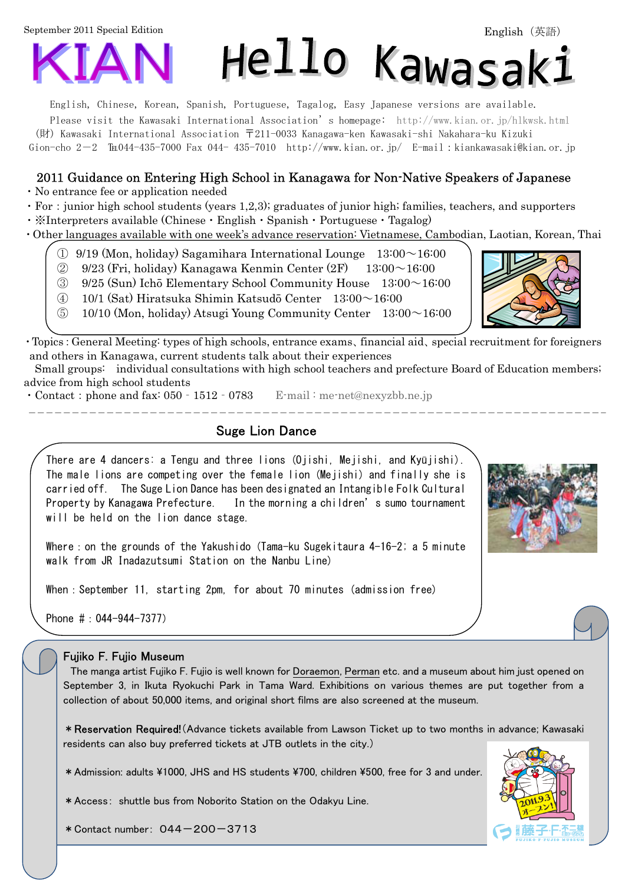September 2011 Special Edition



English, Chinese, Korean, Spanish, Portuguese, Tagalog, Easy Japanese versions are available.

Please visit the Kawasaki International Association's homepage: <http://www.kian.or.jp/hlkwsk.html>

(財) Kawasaki International Association 〒211-0033 Kanagawa-ken Kawasaki-shi Nakahara-ku Kizuki

Gion-cho 2-2  $\text{Im}044-435-7000$  Fax 044- 435-7010 [http://www.kian.or.jp/ E](http://www.kian.or.jp/)-mail:kiankawasaki@kian.or.jp

### 2011 Guidance on Entering High School in Kanagawa for Non-Native Speakers of Japanese

・No entrance fee or application needed

・For:junior high school students (years 1,2,3); graduates of junior high; families, teachers, and supporters

・※Interpreters available (Chinese・English・Spanish・Portuguese・Tagalog)

・Other languages available with one week's advance reservation: Vietnamese, Cambodian, Laotian, Korean, Thai

- $\Omega$  9/19 (Mon, holiday) Sagamihara International Lounge 13:00 $\sim$ 16:00
- $\textcircled{2}$  9/23 (Fri, holiday) Kanagawa Kenmin Center (2F) 13:00 ~ 16:00
- $\Im$  9/25 (Sun) Ichō Elementary School Community House  $13:00 \sim 16:00$
- ④ 10/1 (Sat) Hiratsuka Shimin Katsudō Center 13:00~16:00
- $\textcircled{5}$  10/10 (Mon, holiday) Atsugi Young Community Center 13:00 $\sim$ 16:00

・Topics:General Meeting: types of high schools, entrance exams、financial aid、special recruitment for foreigners and others in Kanagawa, current students talk about their experiences

Small groups: individual consultations with high school teachers and prefecture Board of Education members; advice from high school students

• Contact: phone and fax: 050 - 1512 - 0783 E-mail: [me-net@nexyzbb.ne.jp](mailto:me-net@nexyzbb.ne.jp)

## Suge Lion Dance

There are 4 dancers: a Tengu and three lions (Ojishi, Mejishi, and Kyūjishi). The male lions are competing over the female lion (Mejishi) and finally she is carried off. The Suge Lion Dance has been designated an Intangible Folk Cultural Property by Kanagawa Prefecture. In the morning a children's sumo tournament will be held on the lion dance stage.

Where: on the grounds of the Yakushido (Tama-ku Sugekitaura  $4-16-2$ ; a 5 minute walk from JR Inadazutsumi Station on the Nanbu Line)

When: September 11, starting 2pm, for about 70 minutes (admission free)

Phone #:044-944-7377)

### Fujiko F. Fujio Museum

 The manga artist Fujiko F. Fujio is well known for Doraemon, Perman etc. and a museum about him just opened on September 3, in Ikuta Ryokuchi Park in Tama Ward. Exhibitions on various themes are put together from a collection of about 50,000 items, and original short films are also screened at the museum.

\*Reservation Required!(Advance tickets available from Lawson Ticket up to two months in advance; Kawasaki residents can also buy preferred tickets at JTB outlets in the city.)

٦

\*Admission: adults \1000, JHS and HS students \700, children \500, free for 3 and under.

\*Access: shuttle bus from Noborito Station on the Odakyu Line.





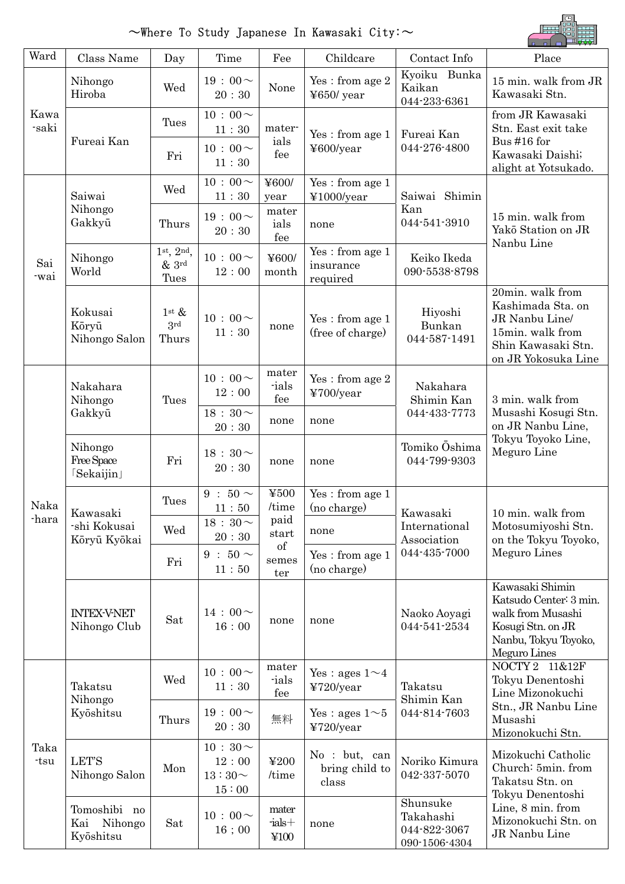# $\sim$ Where To Study Japanese In Kawasaki City: $\sim$



| Ward          | Class Name                                  | Day                                                    | Time                                          | Fee                            | Childcare                                   | Contact Info                                           | Place                                                                                                                       |  |
|---------------|---------------------------------------------|--------------------------------------------------------|-----------------------------------------------|--------------------------------|---------------------------------------------|--------------------------------------------------------|-----------------------------------------------------------------------------------------------------------------------------|--|
| Kawa<br>-saki | Nihongo<br>Hiroba                           | Wed                                                    | $19:00 \sim$<br>20:30                         | None                           | $\,\rm Yes$ : from age $2$<br>$4650$ / year | Kyoiku Bunka<br>Kaikan<br>044-233-6361                 | 15 min. walk from JR<br>Kawasaki Stn.                                                                                       |  |
|               | Fureai Kan                                  | Tues                                                   | $10:00 \sim$<br>11:30                         | mater-<br>ials<br>fee          | Yes: from age 1<br>¥600/year                | Fureai Kan<br>044-276-4800                             | from JR Kawasaki<br>Stn. East exit take                                                                                     |  |
|               |                                             | Fri                                                    | $10:00 \sim$<br>11:30                         |                                |                                             |                                                        | Bus #16 for<br>Kawasaki Daishi;<br>alight at Yotsukado.                                                                     |  |
| Sai<br>-wai   | Saiwai<br>Nihongo<br>Gakkyū                 | Wed                                                    | $10:00 \sim$<br>11:30                         | ¥600/<br>year                  | Yes: from age 1<br>¥1000/year               | Saiwai Shimin                                          |                                                                                                                             |  |
|               |                                             | Thurs                                                  | $19:00 \sim$<br>20:30                         | mater<br>ials<br>fee           | none                                        | Kan<br>044-541-3910                                    | 15 min. walk from<br>Yakō Station on JR<br>Nanbu Line                                                                       |  |
|               | Nihongo<br>World                            | 1 <sup>st</sup> , 2 <sup>nd</sup> ,<br>$&$ 3rd<br>Tues | $10:00 \sim$<br>12:00                         | ¥600/<br>month                 | Yes: from age 1<br>insurance<br>required    | Keiko Ikeda<br>090-5538-8798                           |                                                                                                                             |  |
|               | Kokusai<br>Kōryū<br>Nihongo Salon           | $1$ st $\&$<br>3rd<br>Thurs                            | $10:00 \sim$<br>11:30                         | none                           | Yes: from age 1<br>(free of charge)         | Hiyoshi<br>Bunkan<br>044-587-1491                      | 20min. walk from<br>Kashimada Sta. on<br>JR Nanbu Line/<br>15min. walk from<br>Shin Kawasaki Stn.<br>on JR Yokosuka Line    |  |
| Naka<br>-hara | Nakahara<br>Nihongo<br>Gakkyū               | Tues                                                   | $10:00 \sim$<br>12:00                         | mater<br>-ials<br>fee          | Yes: from age 2<br>¥700/year                | Nakahara<br>Shimin Kan                                 | 3 min. walk from<br>Musashi Kosugi Stn.<br>on JR Nanbu Line,                                                                |  |
|               |                                             |                                                        | $18:30\sim$<br>20:30                          | none                           | none                                        | 044-433-7773                                           |                                                                                                                             |  |
|               | Nihongo<br>Free Space<br><b>Sekaijin</b>    | Fri                                                    | 18 : 30 $\sim$<br>20:30                       | none                           | none                                        | Tomiko Oshima<br>044-799-9303                          | Tokyu Toyoko Line,<br>Meguro Line                                                                                           |  |
|               | Kawasaki<br>-shi Kokusai<br>Kōryū Kyōkai    | Tues                                                   | $9:50\sim$<br>11:50                           | ¥500<br>/time                  | Yes: from age 1<br>(no charge)              | Kawasaki<br>International<br>Association               | 10 min. walk from<br>Motosumiyoshi Stn.<br>on the Tokyu Toyoko,<br>Meguro Lines                                             |  |
|               |                                             | Wed                                                    | $18:30 \sim$<br>20:30                         | paid<br>start                  | none                                        |                                                        |                                                                                                                             |  |
|               |                                             | Fri                                                    | 9 : $50 \sim$<br>11:50                        | of<br>semes<br>ter             | Yes: from age 1<br>(no charge)              | 044-435-7000                                           |                                                                                                                             |  |
|               | <b>INTEX-V-NET</b><br>Nihongo Club          | Sat                                                    | $14:00 \sim$<br>16:00                         | none                           | none                                        | Naoko Aoyagi<br>044-541-2534                           | Kawasaki Shimin<br>Katsudo Center: 3 min.<br>walk from Musashi<br>Kosugi Stn. on JR<br>Nanbu, Tokyu Toyoko,<br>Meguro Lines |  |
| Taka<br>-tsu  | Takatsu<br>Nihongo<br>Kyōshitsu             | Wed                                                    | $10:00 \sim$<br>11:30                         | mater<br>ials<br>fee           | Yes : ages $1 \sim 4$<br>¥720/year          | Takatsu<br>Shimin Kan<br>044-814-7603                  | NOCTY 2 11&12F<br>Tokyu Denentoshi<br>Line Mizonokuchi<br>Stn., JR Nanbu Line<br>Musashi<br>Mizonokuchi Stn.                |  |
|               |                                             | Thurs                                                  | $19:00 \sim$<br>20:30                         | 無料                             | Yes : ages $1 \sim 5$<br>¥720/year          |                                                        |                                                                                                                             |  |
|               | <b>LET'S</b><br>Nihongo Salon               | Mon                                                    | $10:30 \sim$<br>12:00<br>$13:30\sim$<br>15:00 | ¥200<br>/time                  | No : but, can<br>bring child to<br>class    | Noriko Kimura<br>042-337-5070                          | Mizokuchi Catholic<br>Church: 5min. from<br>Takatsu Stn. on<br>Tokyu Denentoshi                                             |  |
|               | Tomoshibi no<br>Kai<br>Nihongo<br>Kyōshitsu | Sat                                                    | $10:00 \sim$<br>$16\;;\,00$                   | mater<br>$-$ ials $+$<br>\$100 | none                                        | Shunsuke<br>Takahashi<br>044-822-3067<br>090-1506-4304 | Line, 8 min. from<br>Mizonokuchi Stn. on<br>JR Nanbu Line                                                                   |  |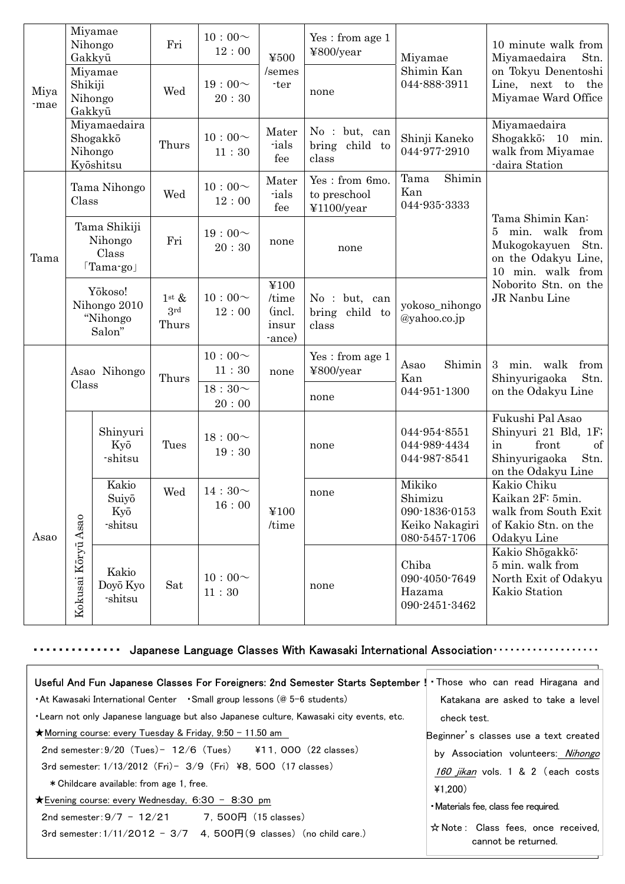|              | Gakkyū                                               | Miyamae<br>Nihongo               | Fri                            | $10:00 \sim$<br>12:00 | ¥500                                       | Yes: from age 1<br>¥800/year                 | Miyamae                                                               | 10 minute walk from<br>Stn.<br>Miyamaedaira                                                                          |
|--------------|------------------------------------------------------|----------------------------------|--------------------------------|-----------------------|--------------------------------------------|----------------------------------------------|-----------------------------------------------------------------------|----------------------------------------------------------------------------------------------------------------------|
| Miya<br>-mae | Miyamae<br>Shikiji<br>Nihongo<br>Gakkyū              |                                  | Wed                            | $19:00 \sim$<br>20:30 | /semes<br>-ter                             | none                                         | Shimin Kan<br>044-888-3911                                            | on Tokyu Denentoshi<br>Line, next to the<br>Miyamae Ward Office                                                      |
|              | Miyamaedaira<br>Shogakkō<br>Nihongo<br>Kyōshitsu     |                                  | Thurs                          | $10:00 \sim$<br>11:30 | Mater<br>-ials<br>fee                      | No : but, can<br>child to<br>bring<br>class  | Shinji Kaneko<br>044-977-2910                                         | Miyamaedaira<br>Shogakkō; 10<br>min.<br>walk from Miyamae<br>-daira Station                                          |
| Tama         | Tama Nihongo<br>Class                                |                                  | Wed                            | $10:00 \sim$<br>12:00 | Mater<br>-ials<br>fee                      | Yes: from 6mo.<br>to preschool<br>¥1100/year | Shimin<br>Tama<br>Kan<br>044-935-3333                                 |                                                                                                                      |
|              | Tama Shikiji<br>Nihongo<br>Class<br>$\lceil$ Tama-go |                                  | Fri                            | $19:00 \sim$<br>20:30 | none                                       | none                                         |                                                                       | Tama Shimin Kan:<br>min. walk<br>from<br>5<br>Stn.<br>Mukogokayuen<br>on the Odakyu Line,<br>10 min. walk from       |
|              | Yōkoso!<br>Nihongo 2010<br>"Nihongo"<br>Salon"       |                                  | $1^{\rm st}$ &<br>3rd<br>Thurs | $10:00 \sim$<br>12:00 | ¥100<br>/time<br>(incl.<br>insur<br>-ance) | No : but, can<br>bring child to<br>class     | yokoso_nihongo<br>@yahoo.co.jp                                        | Noborito Stn. on the<br>JR Nanbu Line                                                                                |
|              | Asao Nihongo                                         |                                  | Thurs                          | $10:00 \sim$<br>11:30 | none                                       | Yes: from age 1<br>¥800/year                 | Shimin<br>Asao<br>Kan                                                 | 3<br>min. walk<br>from<br>Stn.<br>Shinyurigaoka                                                                      |
|              | Class                                                |                                  |                                | $18:30\sim$<br>20:00  |                                            | none                                         | 044-951-1300                                                          | on the Odakyu Line                                                                                                   |
|              |                                                      | Shinyuri<br>Kyō<br>-shitsu       | Tues                           | $18:00 \sim$<br>19:30 |                                            | none                                         | 044-954-8551<br>044-989-4434<br>044-987-8541                          | Fukushi Pal Asao<br>Shinyuri 21 Bld, 1F;<br>front<br>$\sigma f$<br>in<br>Shinyurigaoka<br>Stn.<br>on the Odakyu Line |
| Asao         | Kōryū Asao<br>Kokusai                                | Kakio<br>Suiyō<br>Kyō<br>-shitsu | Wed                            | $14:30\sim$<br>16:00  | ¥100<br>/time                              | none                                         | Mikiko<br>Shimizu<br>090-1836-0153<br>Keiko Nakagiri<br>080-5457-1706 | Kakio Chiku<br>Kaikan 2F: 5min.<br>walk from South Exit<br>of Kakio Stn. on the<br>Odakyu Line                       |
|              |                                                      | Kakio<br>Doyō Kyo<br>-shitsu     | Sat                            | $10:00 \sim$<br>11:30 |                                            | none                                         | Chiba<br>090-4050-7649<br>Hazama<br>090-2451-3462                     | Kakio Shōgakkō:<br>5 min. walk from<br>North Exit of Odakyu<br>Kakio Station                                         |

## ・・・・・・・・・・・・・・ Japanese Language Classes With Kawasaki International Association・・・・・・・・・・・・・・・・・・・

| Useful And Fun Japanese Classes For Foreigners: 2nd Semester Starts September ! Those who can read Hiragana and                         |                                                           |
|-----------------------------------------------------------------------------------------------------------------------------------------|-----------------------------------------------------------|
| • At Kawasaki International Center • Small group lessons (@ 5–6 students)                                                               | Katakana are asked to take a level                        |
| . Learn not only Japanese language but also Japanese culture, Kawasaki city events, etc.                                                | check test.                                               |
| ★Morning course: every Tuesday & Friday, $9:50 - 11.50$ am                                                                              | Beginner's classes use a text created                     |
| $2nd$ semester: $9/20$ (Tues) $-12/6$ (Tues) $\overline{411}$ , 000 (22 classes)                                                        | by Association volunteers: Nihongo                        |
| 3rd semester: $1/13/2012$ (Fri) - $3/9$ (Fri) ¥8, 500 (17 classes)                                                                      | 160 jikan vols. 1 & 2 (each costs                         |
| * Childcare available: from age 1, free.                                                                                                | 41,200                                                    |
| $\bigstar$ Evening course: every Wednesday, 6:30 − 8:30 pm                                                                              | • Materials fee, class fee required.                      |
| 2nd semester: $9/7 - 12/21$ 7. 500 F (15 classes)<br>3rd semester: $1/11/2012 - 3/7$ 4, 500 $\overline{H}(9)$ classes) (no child care.) | ☆ Note: Class fees, once received,<br>cannot be returned. |